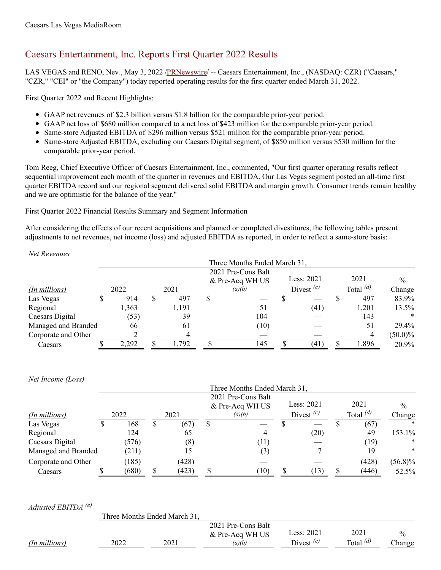# Caesars Entertainment, Inc. Reports First Quarter 2022 Results

LAS VEGAS and RENO, Nev., May 3, 2022 [/PRNewswire](http://www.prnewswire.com/)/ -- Caesars Entertainment, Inc., (NASDAQ: CZR) ("Caesars," "CZR," "CEI" or "the Company") today reported operating results for the first quarter ended March 31, 2022.

First Quarter 2022 and Recent Highlights:

- GAAP net revenues of \$2.3 billion versus \$1.8 billion for the comparable prior-year period.
- GAAP net loss of \$680 million compared to a net loss of \$423 million for the comparable prior-year period.
- Same-store Adjusted EBITDA of \$296 million versus \$521 million for the comparable prior-year period.
- Same-store Adjusted EBITDA, excluding our Caesars Digital segment, of \$850 million versus \$530 million for the comparable prior-year period.

Tom Reeg, Chief Executive Officer of Caesars Entertainment, Inc., commented, "Our first quarter operating results reflect sequential improvement each month of the quarter in revenues and EBITDA. Our Las Vegas segment posted an all-time first quarter EBITDA record and our regional segment delivered solid EBITDA and margin growth. Consumer trends remain healthy and we are optimistic for the balance of the year."

First Quarter 2022 Financial Results Summary and Segment Information

After considering the effects of our recent acquisitions and planned or completed divestitures, the following tables present adjustments to net revenues, net income (loss) and adjusted EBITDA as reported, in order to reflect a same-store basis:

*Net Revenues*

|                     |       |           |   | Three Months Ended March 31,          |  |                            |  |                     |            |
|---------------------|-------|-----------|---|---------------------------------------|--|----------------------------|--|---------------------|------------|
|                     |       |           |   | 2021 Pre-Cons Balt<br>& Pre-Acq WH US |  | Less: 2021<br>Divest $(c)$ |  | 2021<br>Total $(d)$ | $\%$       |
| (In millions)       | 2022  | 2021      |   | (a)(b)                                |  |                            |  |                     | Change     |
| Las Vegas           | 914   | \$<br>497 | S |                                       |  |                            |  | 497                 | 83.9%      |
| Regional            | 1,363 | 1,191     |   |                                       |  | (41)                       |  | 1,201               | $13.5\%$   |
| Caesars Digital     | (53)  | 39        |   | 104                                   |  |                            |  | 143                 | *          |
| Managed and Branded | 66    | 61        |   | (10)                                  |  |                            |  | 51                  | 29.4%      |
| Corporate and Other |       |           |   |                                       |  |                            |  |                     | $(50.0)\%$ |
| Caesars             | 2,292 | 1,792     |   | 145                                   |  | (41)                       |  | 1,896               | 20.9%      |

*Net Income (Loss)*

|                     |   |              |   |                           |   | Three Months Ended March 31, |  |             |  |        |            |
|---------------------|---|--------------|---|---------------------------|---|------------------------------|--|-------------|--|--------|------------|
|                     |   |              |   |                           |   | 2021 Pre-Cons Balt           |  | Less: 2021  |  | 2021   | $\%$       |
| (In millions)       |   | 2022<br>2021 |   | & Pre-Acq WH US<br>(a)(b) |   | Divest $(c)$                 |  | Total $(d)$ |  | Change |            |
| Las Vegas           | S | 168          | S | (67)                      | S |                              |  |             |  | (67)   | $\ast$     |
| Regional            |   | 124          |   | 65                        |   |                              |  | (20)        |  | 49     | 153.1%     |
| Caesars Digital     |   | (576)        |   | (8)                       |   | (11)                         |  |             |  | (19)   | $\ast$     |
| Managed and Branded |   | (211)        |   | 15                        |   | (3)                          |  |             |  | 19     | *          |
| Corporate and Other |   | 185)         |   | (428)                     |   |                              |  |             |  | (428)  | $(56.8)\%$ |
| Caesars             |   | (680)        |   | (423)                     |   | (10)                         |  | 13)         |  | (446)  | 52.5%      |

*Adjusted EBITDA (e)*

|               |      | Three Months Ended March 31, |                    |              |             |               |
|---------------|------|------------------------------|--------------------|--------------|-------------|---------------|
|               |      |                              | 2021 Pre-Cons Balt |              |             |               |
|               |      |                              | & Pre-Acq WH US    | Less: 2021   | 2021        | $\frac{0}{0}$ |
| (In millions) | 2022 | 2021                         | (a)(b)             | Divest $(c)$ | Total $(d)$ | Change        |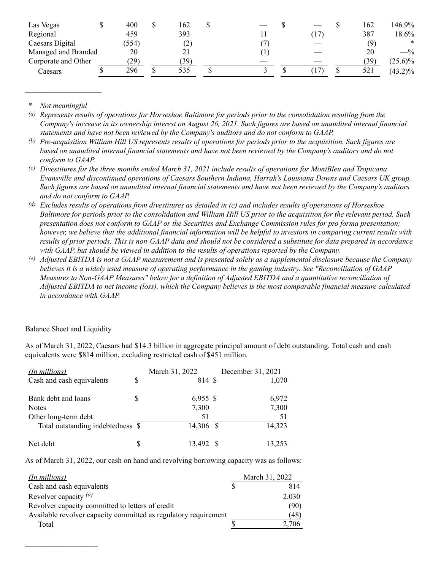| Las Vegas           | 400   | J | 162 |  |    | 162  | 146.9%          |
|---------------------|-------|---|-----|--|----|------|-----------------|
| Regional            | 459   |   | 393 |  | 17 | 387  | 18.6%           |
| Caesars Digital     | (554) |   | (2) |  |    | (9)  | *               |
| Managed and Branded | 20    |   | 21  |  |    | 20   | $- \frac{9}{6}$ |
| Corporate and Other | (29)  |   | 39) |  |    | (39) | $(25.6)\%$      |
| Caesars             | 296   |   | 535 |  |    | 521  | $(43.2)\%$      |

 $$ 

 $\mathcal{L}=\mathcal{L}^{\mathcal{L}}$ 

(a) Represents results of operations for Horseshoe Baltimore for periods prior to the consolidation resulting from the Company's increase in its ownership interest on August 26, 2021. Such figures are based on unaudited internal financial *statements and have not been reviewed by the Company's auditors and do not conform to GAAP.*

(b) Pre-acquisition William Hill US represents results of operations for periods prior to the acquisition. Such figures are based on unaudited internal financial statements and have not been reviewed by the Company's auditors and do not *conform to GAAP.*

- (c) Divestitures for the three months ended March 31, 2021 include results of operations for MontBleu and Tropicana *Evansville and discontinued operations of Caesars Southern Indiana, Harrah's Louisiana Downs and Caesars UK group.* Such figures are based on unaudited internal financial statements and have not been reviewed by the Company's auditors *and do not conform to GAAP.*
- (d) Excludes results of operations from divestitures as detailed in (c) and includes results of operations of Horseshoe Baltimore for periods prior to the consolidation and William Hill US prior to the acquisition for the relevant period. Such presentation does not conform to GAAP or the Securities and Exchange Commission rules for pro forma presentation; however, we believe that the additional financial information will be helpful to investors in comparing current results with results of prior periods. This is non-GAAP data and should not be considered a substitute for data prepared in accordance *with GAAP, but should be viewed in addition to the results of operations reported by the Company.*
- (e) Adjusted EBITDA is not a GAAP measurement and is presented solely as a supplemental disclosure because the Company believes it is a widely used measure of operating performance in the gaming industry. See "Reconciliation of GAAP *Measures to Non-GAAP Measures" below for a definition of Adjusted EBITDA and a quantitative reconciliation of* Adjusted EBITDA to net income (loss), which the Company believes is the most comparable financial measure calculated *in accordance with GAAP.*

### Balance Sheet and Liquidity

 $\mathcal{L}_\text{max}$  and  $\mathcal{L}_\text{max}$  and  $\mathcal{L}_\text{max}$ 

As of March 31, 2022, Caesars had \$14.3 billion in aggregate principal amount of debt outstanding. Total cash and cash equivalents were \$814 million, excluding restricted cash of \$451 million.

| (In millions)                     |    | March 31, 2022 | December 31, 2021 |
|-----------------------------------|----|----------------|-------------------|
| Cash and cash equivalents         | \$ | 814 \$         | 1,070             |
| Bank debt and loans               | S  | $6,955$ \$     | 6,972             |
| <b>Notes</b>                      |    | 7,300          | 7,300             |
| Other long-term debt              |    | 51             | 51                |
| Total outstanding indebtedness \$ |    | 14,306 \$      | 14,323            |
| Net debt                          | S  | 13,492 \$      | 13,253            |

As of March 31, 2022, our cash on hand and revolving borrowing capacity was as follows:

| (In millions)                                                   | March 31, 2022 |
|-----------------------------------------------------------------|----------------|
| Cash and cash equivalents                                       | 814            |
| Revolver capacity $(a)$                                         | 2,030          |
| Revolver capacity committed to letters of credit                | (90)           |
| Available revolver capacity committed as regulatory requirement | (48)           |
| Total                                                           | 2,706          |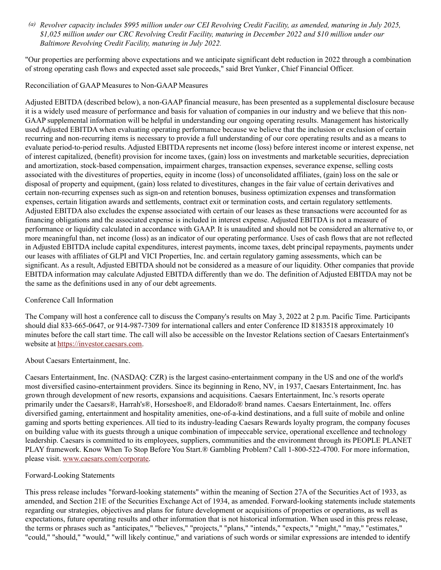(a) Revolver capacity includes \$995 million under our CEI Revolving Credit Facility, as amended, maturing in July 2025, \$1,025 million under our CRC Revolving Credit Facility, maturing in December 2022 and \$10 million under our *Baltimore Revolving Credit Facility, maturing in July 2022.*

"Our properties are performing above expectations and we anticipate significant debt reduction in 2022 through a combination of strong operating cash flows and expected asset sale proceeds," said Bret Yunker, Chief Financial Officer.

### Reconciliation of GAAP Measures to Non-GAAP Measures

Adjusted EBITDA (described below), a non-GAAP financial measure, has been presented as a supplemental disclosure because it is a widely used measure of performance and basis for valuation of companies in our industry and we believe that this non-GAAP supplemental information will be helpful in understanding our ongoing operating results. Management has historically used Adjusted EBITDA when evaluating operating performance because we believe that the inclusion or exclusion of certain recurring and non-recurring items is necessary to provide a full understanding of our core operating results and as a means to evaluate period-to-period results. Adjusted EBITDA represents net income (loss) before interest income or interest expense, net of interest capitalized, (benefit) provision for income taxes, (gain) loss on investments and marketable securities, depreciation and amortization, stock-based compensation, impairment charges, transaction expenses, severance expense, selling costs associated with the divestitures of properties, equity in income (loss) of unconsolidated affiliates, (gain) loss on the sale or disposal of property and equipment, (gain) loss related to divestitures, changes in the fair value of certain derivatives and certain non-recurring expenses such as sign-on and retention bonuses, business optimization expenses and transformation expenses, certain litigation awards and settlements, contract exit or termination costs, and certain regulatory settlements. Adjusted EBITDA also excludes the expense associated with certain of our leases as these transactions were accounted for as financing obligations and the associated expense is included in interest expense. Adjusted EBITDA is not a measure of performance or liquidity calculated in accordance with GAAP. It is unaudited and should not be considered an alternative to, or more meaningful than, net income (loss) as an indicator of our operating performance. Uses of cash flows that are not reflected in Adjusted EBITDA include capital expenditures, interest payments, income taxes, debt principal repayments, payments under our leases with affiliates of GLPI and VICI Properties, Inc. and certain regulatory gaming assessments, which can be significant. As a result, Adjusted EBITDA should not be considered as a measure of our liquidity. Other companies that provide EBITDA information may calculate Adjusted EBITDA differently than we do. The definition of Adjusted EBITDA may not be the same as the definitions used in any of our debt agreements.

### Conference Call Information

The Company will host a conference call to discuss the Company's results on May 3, 2022 at 2 p.m. Pacific Time. Participants should dial 833-665-0647, or 914-987-7309 for international callers and enter Conference ID 8183518 approximately 10 minutes before the call start time. The call will also be accessible on the Investor Relations section of Caesars Entertainment's website at <https://investor.caesars.com>.

### About Caesars Entertainment, Inc.

Caesars Entertainment, Inc. (NASDAQ: CZR) is the largest casino-entertainment company in the US and one of the world's most diversified casino-entertainment providers. Since its beginning in Reno, NV, in 1937, Caesars Entertainment, Inc. has grown through development of new resorts, expansions and acquisitions. Caesars Entertainment, Inc.'s resorts operate primarily under the Caesars®, Harrah's®, Horseshoe®, and Eldorado® brand names. Caesars Entertainment, Inc. offers diversified gaming, entertainment and hospitality amenities, one-of-a-kind destinations, and a full suite of mobile and online gaming and sports betting experiences. All tied to its industry-leading Caesars Rewards loyalty program, the company focuses on building value with its guests through a unique combination of impeccable service, operational excellence and technology leadership. Caesars is committed to its employees, suppliers, communities and the environment through its PEOPLE PLANET PLAY framework. Know When To Stop Before You Start.® Gambling Problem? Call 1-800-522-4700. For more information, please visit. [www.caesars.com/corporate](http://www.caesars.com/corporate).

### Forward-Looking Statements

This press release includes "forward-looking statements" within the meaning of Section 27A of the Securities Act of 1933, as amended, and Section 21E of the Securities Exchange Act of 1934, as amended. Forward-looking statements include statements regarding our strategies, objectives and plans for future development or acquisitions of properties or operations, as well as expectations, future operating results and other information that is not historical information. When used in this press release, the terms or phrases such as "anticipates," "believes," "projects," "plans," "intends," "expects," "might," "may," "estimates," "could," "should," "would," "will likely continue," and variations of such words or similar expressions are intended to identify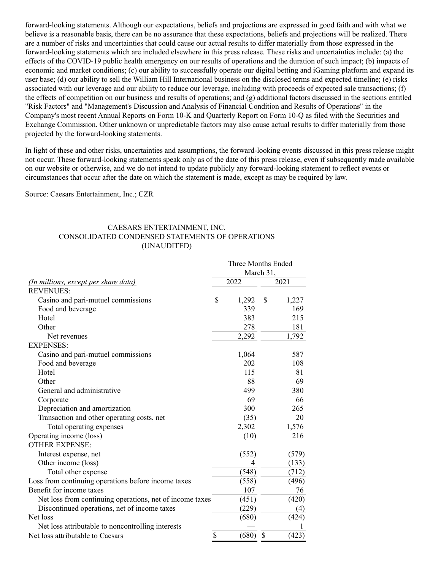forward-looking statements. Although our expectations, beliefs and projections are expressed in good faith and with what we believe is a reasonable basis, there can be no assurance that these expectations, beliefs and projections will be realized. There are a number of risks and uncertainties that could cause our actual results to differ materially from those expressed in the forward-looking statements which are included elsewhere in this press release. These risks and uncertainties include: (a) the effects of the COVID-19 public health emergency on our results of operations and the duration of such impact; (b) impacts of economic and market conditions; (c) our ability to successfully operate our digital betting and iGaming platform and expand its user base; (d) our ability to sell the William Hill International business on the disclosed terms and expected timeline; (e) risks associated with our leverage and our ability to reduce our leverage, including with proceeds of expected sale transactions; (f) the effects of competition on our business and results of operations; and (g) additional factors discussed in the sections entitled "Risk Factors" and "Management's Discussion and Analysis of Financial Condition and Results of Operations" in the Company's most recent Annual Reports on Form 10-K and Quarterly Report on Form 10-Q as filed with the Securities and Exchange Commission. Other unknown or unpredictable factors may also cause actual results to differ materially from those projected by the forward-looking statements.

In light of these and other risks, uncertainties and assumptions, the forward-looking events discussed in this press release might not occur. These forward-looking statements speak only as of the date of this press release, even if subsequently made available on our website or otherwise, and we do not intend to update publicly any forward-looking statement to reflect events or circumstances that occur after the date on which the statement is made, except as may be required by law.

Source: Caesars Entertainment, Inc.; CZR

## CAESARS ENTERTAINMENT, INC. CONSOLIDATED CONDENSED STATEMENTS OF OPERATIONS (UNAUDITED)

|                                                          | Three Months Ended<br>March 31, |    |       |  |  |  |
|----------------------------------------------------------|---------------------------------|----|-------|--|--|--|
| (In millions, except per share data)                     | 2022                            |    | 2021  |  |  |  |
| <b>REVENUES:</b>                                         |                                 |    |       |  |  |  |
| Casino and pari-mutuel commissions                       | \$<br>1,292                     | \$ | 1,227 |  |  |  |
| Food and beverage                                        | 339                             |    | 169   |  |  |  |
| Hotel                                                    | 383                             |    | 215   |  |  |  |
| Other                                                    | 278                             |    | 181   |  |  |  |
| Net revenues                                             | 2,292                           |    | 1,792 |  |  |  |
| <b>EXPENSES:</b>                                         |                                 |    |       |  |  |  |
| Casino and pari-mutuel commissions                       | 1,064                           |    | 587   |  |  |  |
| Food and beverage                                        | 202                             |    | 108   |  |  |  |
| Hotel                                                    | 115                             |    | 81    |  |  |  |
| Other                                                    | 88                              |    | 69    |  |  |  |
| General and administrative                               | 499                             |    | 380   |  |  |  |
| Corporate                                                | 69                              |    | 66    |  |  |  |
| Depreciation and amortization                            | 300                             |    | 265   |  |  |  |
| Transaction and other operating costs, net               | (35)                            |    | 20    |  |  |  |
| Total operating expenses                                 | 2,302                           |    | 1,576 |  |  |  |
| Operating income (loss)                                  | (10)                            |    | 216   |  |  |  |
| <b>OTHER EXPENSE:</b>                                    |                                 |    |       |  |  |  |
| Interest expense, net                                    | (552)                           |    | (579) |  |  |  |
| Other income (loss)                                      | 4                               |    | (133) |  |  |  |
| Total other expense                                      | (548)                           |    | (712) |  |  |  |
| Loss from continuing operations before income taxes      | (558)                           |    | (496) |  |  |  |
| Benefit for income taxes                                 | 107                             |    | 76    |  |  |  |
| Net loss from continuing operations, net of income taxes | (451)                           |    | (420) |  |  |  |
| Discontinued operations, net of income taxes             | (229)                           |    | (4)   |  |  |  |
| Net loss                                                 | (680)                           |    | (424) |  |  |  |
| Net loss attributable to noncontrolling interests        |                                 |    |       |  |  |  |
| Net loss attributable to Caesars                         | \$<br>(680)                     | \$ | (423) |  |  |  |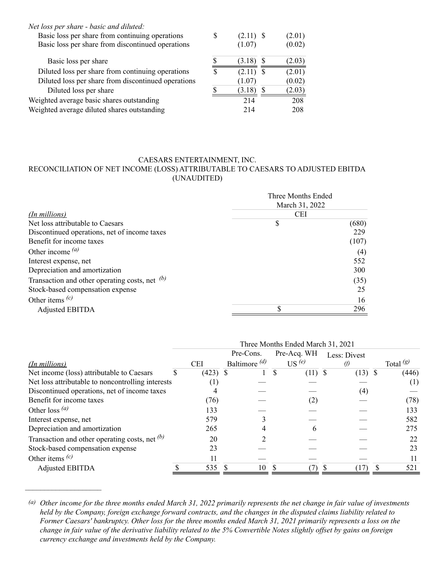| S |        | (2.01)      |
|---|--------|-------------|
|   | (1.07) | (0.02)      |
|   | (3.18) | (2.03)      |
| S | (2.11) | (2.01)      |
|   | (1.07) | (0.02)      |
|   | (3.18) | (2.03)      |
|   | 214    | 208         |
|   | 214    | 208         |
|   |        | $(2.11)$ \$ |

### CAESARS ENTERTAINMENT, INC. RECONCILIATION OF NET INCOME (LOSS) ATTRIBUTABLE TO CAESARS TO ADJUSTED EBITDA (UNAUDITED)

|                                                  | Three Months Ended<br>March 31, 2022 |       |  |  |  |
|--------------------------------------------------|--------------------------------------|-------|--|--|--|
|                                                  |                                      |       |  |  |  |
| (In millions)                                    | <b>CEI</b>                           |       |  |  |  |
| Net loss attributable to Caesars                 |                                      | (680) |  |  |  |
| Discontinued operations, net of income taxes     |                                      | 229   |  |  |  |
| Benefit for income taxes                         |                                      | (107) |  |  |  |
| Other income $(a)$                               |                                      | (4)   |  |  |  |
| Interest expense, net                            |                                      | 552   |  |  |  |
| Depreciation and amortization                    |                                      | 300   |  |  |  |
| Transaction and other operating costs, net $(b)$ |                                      | (35)  |  |  |  |
| Stock-based compensation expense                 |                                      | 25    |  |  |  |
| Other items $(c)$                                |                                      | 16    |  |  |  |
| <b>Adjusted EBITDA</b>                           |                                      | 296   |  |  |  |

|                                                   | Three Months Ended March 31, 2021 |            |                 |   |                   |              |  |                     |  |  |
|---------------------------------------------------|-----------------------------------|------------|-----------------|---|-------------------|--------------|--|---------------------|--|--|
|                                                   |                                   |            | Pre-Cons.       |   | Pre-Acq. WH       | Less: Divest |  |                     |  |  |
| (In millions)                                     |                                   | <b>CEI</b> | Baltimore $(d)$ |   | US <sup>(e)</sup> | $\theta$     |  | Total $\frac{g}{g}$ |  |  |
| Net income (loss) attributable to Caesars         |                                   | $(423)$ \$ |                 | S | $(11)$ \$         | $(13)$ \$    |  | (446)               |  |  |
| Net loss attributable to noncontrolling interests |                                   |            |                 |   |                   |              |  | ( 1 )               |  |  |
| Discontinued operations, net of income taxes      |                                   |            |                 |   |                   | (4)          |  |                     |  |  |
| Benefit for income taxes                          |                                   | (76)       |                 |   | (2)               |              |  | (78)                |  |  |
| Other loss $(a)$                                  |                                   | 133        |                 |   |                   |              |  | 133                 |  |  |
| Interest expense, net                             |                                   | 579        |                 |   |                   |              |  | 582                 |  |  |
| Depreciation and amortization                     |                                   | 265        |                 |   | 6                 |              |  | 275                 |  |  |
| Transaction and other operating costs, net $(b)$  |                                   | 20         |                 |   |                   |              |  | 22                  |  |  |
| Stock-based compensation expense                  |                                   | 23         |                 |   |                   |              |  | 23                  |  |  |
| Other items $(c)$                                 |                                   |            |                 |   |                   |              |  |                     |  |  |
| <b>Adjusted EBITDA</b>                            |                                   | 535        | 10              |   |                   |              |  | 521                 |  |  |

<sup>(</sup>a) Other income for the three months ended March 31, 2022 primarily represents the net change in fair value of investments held by the Company, foreign exchange forward contracts, and the changes in the disputed claims liability related to Former Caesars' bankruptcy. Other loss for the three months ended March 31, 2021 primarily represents a loss on the change in fair value of the derivative liability related to the 5% Convertible Notes slightly offset by gains on foreign *currency exchange and investments held by the Company.*